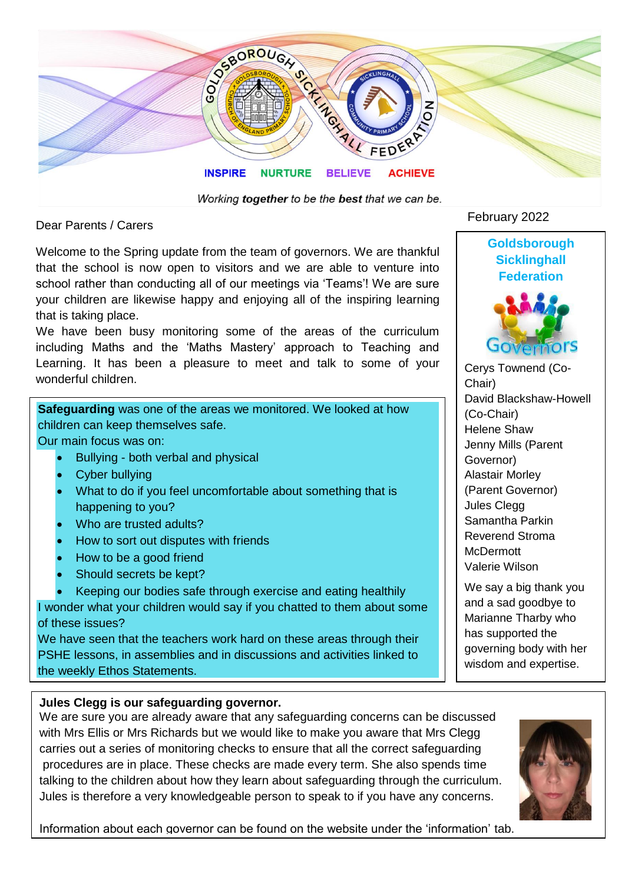

Working together to be the best that we can be.

Dear Parents / Carers

Welcome to the Spring update from the team of governors. We are thankful that the school is now open to visitors and we are able to venture into school rather than conducting all of our meetings via 'Teams'! We are sure your children are likewise happy and enjoying all of the inspiring learning that is taking place.

We have been busy monitoring some of the areas of the curriculum including Maths and the 'Maths Mastery' approach to Teaching and Learning. It has been a pleasure to meet and talk to some of your wonderful children.

**Safeguarding** was one of the areas we monitored. We looked at how children can keep themselves safe.

Our main focus was on:

- Bullying both verbal and physical
- Cyber bullying
- What to do if you feel uncomfortable about something that is happening to you?
- Who are trusted adults?
- How to sort out disputes with friends
- How to be a good friend
- Should secrets be kept?

• Keeping our bodies safe through exercise and eating healthily I wonder what your children would say if you chatted to them about some of these issues?

We have seen that the teachers work hard on these areas through their PSHE lessons, in assemblies and in discussions and activities linked to the weekly Ethos Statements.

#### **Jules Clegg is our safeguarding governor.**

We are sure you are already aware that any safeguarding concerns can be discussed with Mrs Ellis or Mrs Richards but we would like to make you aware that Mrs Clegg carries out a series of monitoring checks to ensure that all the correct safeguarding procedures are in place. These checks are made every term. She also spends time talking to the children about how they learn about safeguarding through the curriculum. Jules is therefore a very knowledgeable person to speak to if you have any concerns.

Information about each governor can be found on the website under the 'information' tab.

# February 2022



**Goldsborough** 

Cerys Townend (Co-Chair) David Blackshaw-Howell (Co-Chair) Helene Shaw Jenny Mills (Parent Governor) Alastair Morley (Parent Governor) Jules Clegg Samantha Parkin Reverend Stroma **McDermott** Valerie Wilson

We say a big thank you and a sad goodbye to Marianne Tharby who has supported the governing body with her wisdom and expertise.